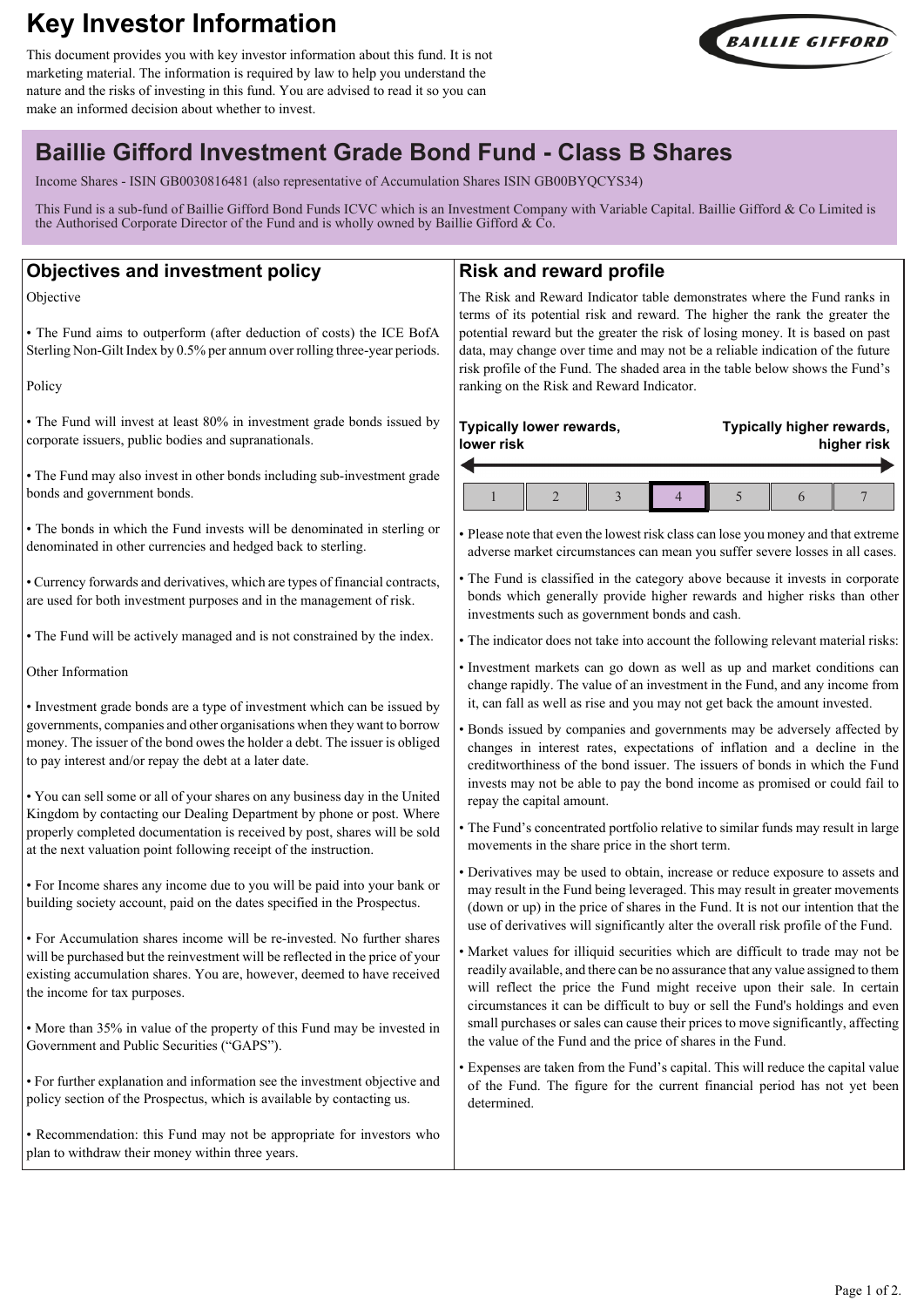# **Key Investor Information**

This document provides you with key investor information about this fund. It is not marketing material. The information is required by law to help you understand the nature and the risks of investing in this fund. You are advised to read it so you can make an informed decision about whether to invest.



## **Baillie Gifford Investment Grade Bond Fund - Class B Shares**

Income Shares - ISIN GB0030816481 (also representative of Accumulation Shares ISIN GB00BYQCYS34)

This Fund is a sub-fund of Baillie Gifford Bond Funds ICVC which is an Investment Company with Variable Capital. Baillie Gifford & Co Limited is the Authorised Corporate Director of the Fund and is wholly owned by Baillie Gifford & Co.

## **Objectives and investment policy**

Objective

• The Fund aims to outperform (after deduction of costs) the ICE BofA Sterling Non-Gilt Index by 0.5% per annum over rolling three-year periods.

Policy

• The Fund will invest at least 80% in investment grade bonds issued by corporate issuers, public bodies and supranationals.

• The Fund may also invest in other bonds including sub-investment grade bonds and government bonds.

• The bonds in which the Fund invests will be denominated in sterling or denominated in other currencies and hedged back to sterling.

• Currency forwards and derivatives, which are types of financial contracts, are used for both investment purposes and in the management of risk.

• The Fund will be actively managed and is not constrained by the index.

Other Information

• Investment grade bonds are a type of investment which can be issued by governments, companies and other organisations when they want to borrow money. The issuer of the bond owes the holder a debt. The issuer is obliged to pay interest and/or repay the debt at a later date.

• You can sell some or all of your shares on any business day in the United Kingdom by contacting our Dealing Department by phone or post. Where properly completed documentation is received by post, shares will be sold at the next valuation point following receipt of the instruction.

• For Income shares any income due to you will be paid into your bank or building society account, paid on the dates specified in the Prospectus.

• For Accumulation shares income will be re-invested. No further shares will be purchased but the reinvestment will be reflected in the price of your existing accumulation shares. You are, however, deemed to have received the income for tax purposes.

• More than 35% in value of the property of this Fund may be invested in Government and Public Securities ("GAPS").

• For further explanation and information see the investment objective and policy section of the Prospectus, which is available by contacting us.

• Recommendation: this Fund may not be appropriate for investors who plan to withdraw their money within three years.

## **Risk and reward profile**

The Risk and Reward Indicator table demonstrates where the Fund ranks in terms of its potential risk and reward. The higher the rank the greater the potential reward but the greater the risk of losing money. It is based on past data, may change over time and may not be a reliable indication of the future risk profile of the Fund. The shaded area in the table below shows the Fund's ranking on the Risk and Reward Indicator.

#### **Typically lower rewards, lower risk Typically higher rewards, higher risk**  $1 \parallel 2 \parallel 3 \parallel 4 \parallel 5 \parallel 6 \parallel 7$

• Please note that even the lowest risk class can lose you money and that extreme adverse market circumstances can mean you suffer severe losses in all cases.

• The Fund is classified in the category above because it invests in corporate bonds which generally provide higher rewards and higher risks than other investments such as government bonds and cash.

• The indicator does not take into account the following relevant material risks:

• Investment markets can go down as well as up and market conditions can change rapidly. The value of an investment in the Fund, and any income from it, can fall as well as rise and you may not get back the amount invested.

• Bonds issued by companies and governments may be adversely affected by changes in interest rates, expectations of inflation and a decline in the creditworthiness of the bond issuer. The issuers of bonds in which the Fund invests may not be able to pay the bond income as promised or could fail to repay the capital amount.

• The Fund's concentrated portfolio relative to similar funds may result in large movements in the share price in the short term.

• Derivatives may be used to obtain, increase or reduce exposure to assets and may result in the Fund being leveraged. This may result in greater movements (down or up) in the price of shares in the Fund. It is not our intention that the use of derivatives will significantly alter the overall risk profile of the Fund.

• Market values for illiquid securities which are difficult to trade may not be readily available, and there can be no assurance that any value assigned to them will reflect the price the Fund might receive upon their sale. In certain circumstances it can be difficult to buy or sell the Fund's holdings and even small purchases or sales can cause their prices to move significantly, affecting the value of the Fund and the price of shares in the Fund.

• Expenses are taken from the Fund's capital. This will reduce the capital value of the Fund. The figure for the current financial period has not yet been determined.